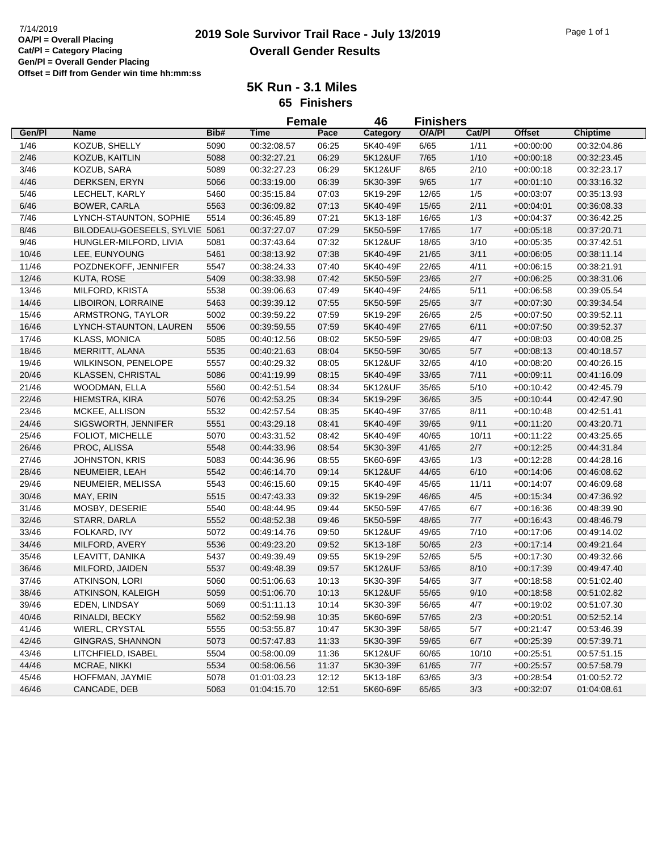## **2019 Sole Survivor Trail Race - July 13/2019** 7/14/2019 Page 1 of 1 **Overall Gender Results**

**5K Run - 3.1 Miles 65 Finishers**

|        |                                |      | <b>Female</b> |       | 46       | <b>Finishers</b> |        |               |                 |
|--------|--------------------------------|------|---------------|-------|----------|------------------|--------|---------------|-----------------|
| Gen/Pl | Name                           | Bib# | <b>Time</b>   | Pace  | Category | O/A/PI           | Cat/Pl | <b>Offset</b> | <b>Chiptime</b> |
| 1/46   | KOZUB, SHELLY                  | 5090 | 00:32:08.57   | 06:25 | 5K40-49F | 6/65             | 1/11   | $+00:00:00$   | 00:32:04.86     |
| 2/46   | KOZUB, KAITLIN                 | 5088 | 00:32:27.21   | 06:29 | 5K12&UF  | 7/65             | 1/10   | $+00:00:18$   | 00:32:23.45     |
| 3/46   | KOZUB, SARA                    | 5089 | 00:32:27.23   | 06:29 | 5K12&UF  | 8/65             | 2/10   | $+00:00:18$   | 00:32:23.17     |
| 4/46   | DERKSEN, ERYN                  | 5066 | 00:33:19.00   | 06:39 | 5K30-39F | 9/65             | 1/7    | $+00:01:10$   | 00:33:16.32     |
| $5/46$ | LECHELT, KARLY                 | 5460 | 00:35:15.84   | 07:03 | 5K19-29F | 12/65            | 1/5    | $+00:03:07$   | 00:35:13.93     |
| 6/46   | <b>BOWER, CARLA</b>            | 5563 | 00:36:09.82   | 07:13 | 5K40-49F | 15/65            | 2/11   | $+00:04:01$   | 00:36:08.33     |
| 7/46   | LYNCH-STAUNTON, SOPHIE         | 5514 | 00:36:45.89   | 07:21 | 5K13-18F | 16/65            | 1/3    | $+00:04:37$   | 00:36:42.25     |
| 8/46   | BILODEAU-GOESEELS, SYLVIE 5061 |      | 00:37:27.07   | 07:29 | 5K50-59F | 17/65            | 1/7    | $+00:05:18$   | 00:37:20.71     |
| 9/46   | HUNGLER-MILFORD, LIVIA         | 5081 | 00:37:43.64   | 07:32 | 5K12&UF  | 18/65            | 3/10   | $+00:05:35$   | 00:37:42.51     |
| 10/46  | LEE, EUNYOUNG                  | 5461 | 00:38:13.92   | 07:38 | 5K40-49F | 21/65            | 3/11   | $+00:06:05$   | 00:38:11.14     |
| 11/46  | POZDNEKOFF, JENNIFER           | 5547 | 00:38:24.33   | 07:40 | 5K40-49F | 22/65            | 4/11   | $+00:06:15$   | 00:38:21.91     |
| 12/46  | KUTA, ROSE                     | 5409 | 00:38:33.98   | 07:42 | 5K50-59F | 23/65            | 2/7    | $+00:06:25$   | 00:38:31.06     |
| 13/46  | MILFORD, KRISTA                | 5538 | 00:39:06.63   | 07:49 | 5K40-49F | 24/65            | 5/11   | $+00:06:58$   | 00:39:05.54     |
| 14/46  | LIBOIRON, LORRAINE             | 5463 | 00:39:39.12   | 07:55 | 5K50-59F | 25/65            | 3/7    | $+00:07:30$   | 00:39:34.54     |
| 15/46  | ARMSTRONG, TAYLOR              | 5002 | 00:39:59.22   | 07:59 | 5K19-29F | 26/65            | $2/5$  | $+00:07:50$   | 00:39:52.11     |
| 16/46  | LYNCH-STAUNTON, LAUREN         | 5506 | 00:39:59.55   | 07:59 | 5K40-49F | 27/65            | 6/11   | $+00:07:50$   | 00:39:52.37     |
| 17/46  | <b>KLASS, MONICA</b>           | 5085 | 00:40:12.56   | 08:02 | 5K50-59F | 29/65            | 4/7    | $+00:08:03$   | 00:40:08.25     |
| 18/46  | MERRITT, ALANA                 | 5535 | 00:40:21.63   | 08:04 | 5K50-59F | 30/65            | 5/7    | $+00:08:13$   | 00:40:18.57     |
| 19/46  | <b>WILKINSON, PENELOPE</b>     | 5557 | 00:40:29.32   | 08:05 | 5K12&UF  | 32/65            | 4/10   | $+00:08:20$   | 00:40:26.15     |
| 20/46  | KLASSEN, CHRISTAL              | 5086 | 00:41:19.99   | 08:15 | 5K40-49F | 33/65            | 7/11   | $+00:09:11$   | 00:41:16.09     |
| 21/46  | WOODMAN, ELLA                  | 5560 | 00:42:51.54   | 08:34 | 5K12&UF  | 35/65            | 5/10   | +00:10:42     | 00:42:45.79     |
| 22/46  | HIEMSTRA, KIRA                 | 5076 | 00:42:53.25   | 08:34 | 5K19-29F | 36/65            | 3/5    | $+00:10:44$   | 00:42:47.90     |
| 23/46  | MCKEE, ALLISON                 | 5532 | 00:42:57.54   | 08:35 | 5K40-49F | 37/65            | 8/11   | $+00:10:48$   | 00:42:51.41     |
| 24/46  | SIGSWORTH, JENNIFER            | 5551 | 00:43:29.18   | 08:41 | 5K40-49F | 39/65            | 9/11   | $+00:11:20$   | 00:43:20.71     |
| 25/46  | FOLIOT, MICHELLE               | 5070 | 00:43:31.52   | 08:42 | 5K40-49F | 40/65            | 10/11  | $+00:11:22$   | 00:43:25.65     |
| 26/46  | PROC, ALISSA                   | 5548 | 00:44:33.96   | 08:54 | 5K30-39F | 41/65            | 2/7    | $+00:12:25$   | 00:44:31.84     |
| 27/46  | <b>JOHNSTON, KRIS</b>          | 5083 | 00:44:36.96   | 08:55 | 5K60-69F | 43/65            | 1/3    | $+00:12:28$   | 00:44:28.16     |
| 28/46  | NEUMEIER, LEAH                 | 5542 | 00:46:14.70   | 09:14 | 5K12&UF  | 44/65            | 6/10   | $+00:14:06$   | 00:46:08.62     |
| 29/46  | NEUMEIER, MELISSA              | 5543 | 00:46:15.60   | 09:15 | 5K40-49F | 45/65            | 11/11  | $+00:14:07$   | 00:46:09.68     |
| 30/46  | MAY, ERIN                      | 5515 | 00:47:43.33   | 09:32 | 5K19-29F | 46/65            | 4/5    | $+00:15:34$   | 00:47:36.92     |
| 31/46  | MOSBY, DESERIE                 | 5540 | 00:48:44.95   | 09:44 | 5K50-59F | 47/65            | 6/7    | $+00:16:36$   | 00:48:39.90     |
| 32/46  | STARR, DARLA                   | 5552 | 00:48:52.38   | 09:46 | 5K50-59F | 48/65            | 7/7    | $+00:16:43$   | 00:48:46.79     |
| 33/46  | FOLKARD, IVY                   | 5072 | 00:49:14.76   | 09:50 | 5K12&UF  | 49/65            | 7/10   | $+00:17:06$   | 00:49:14.02     |
| 34/46  | MILFORD, AVERY                 | 5536 | 00:49:23.20   | 09:52 | 5K13-18F | 50/65            | 2/3    | $+00:17:14$   | 00:49:21.64     |
| 35/46  | LEAVITT, DANIKA                | 5437 | 00:49:39.49   | 09:55 | 5K19-29F | 52/65            | 5/5    | $+00:17:30$   | 00:49:32.66     |
| 36/46  | MILFORD, JAIDEN                | 5537 | 00:49:48.39   | 09:57 | 5K12&UF  | 53/65            | 8/10   | $+00:17:39$   | 00:49:47.40     |
| 37/46  | <b>ATKINSON, LORI</b>          | 5060 | 00:51:06.63   | 10:13 | 5K30-39F | 54/65            | 3/7    | $+00:18:58$   | 00:51:02.40     |
| 38/46  | ATKINSON, KALEIGH              | 5059 | 00:51:06.70   | 10:13 | 5K12&UF  | 55/65            | 9/10   | $+00:18:58$   | 00:51:02.82     |
| 39/46  | EDEN, LINDSAY                  | 5069 | 00:51:11.13   | 10:14 | 5K30-39F | 56/65            | 4/7    | $+00:19:02$   | 00:51:07.30     |
| 40/46  | RINALDI, BECKY                 | 5562 | 00:52:59.98   | 10:35 | 5K60-69F | 57/65            | 2/3    | $+00:20:51$   | 00:52:52.14     |
| 41/46  | WIERL, CRYSTAL                 | 5555 | 00:53:55.87   | 10:47 | 5K30-39F | 58/65            | 5/7    | $+00:21:47$   | 00:53:46.39     |
| 42/46  | <b>GINGRAS, SHANNON</b>        | 5073 | 00:57:47.83   | 11:33 | 5K30-39F | 59/65            | 6/7    | $+00:25:39$   | 00:57:39.71     |
| 43/46  | LITCHFIELD, ISABEL             | 5504 | 00:58:00.09   | 11:36 | 5K12&UF  | 60/65            | 10/10  | $+00:25:51$   | 00:57:51.15     |
| 44/46  | MCRAE, NIKKI                   | 5534 | 00:58:06.56   | 11:37 | 5K30-39F | 61/65            | 7/7    | $+00:25:57$   | 00:57:58.79     |
| 45/46  | HOFFMAN, JAYMIE                | 5078 | 01:01:03.23   | 12:12 | 5K13-18F | 63/65            | 3/3    | $+00:28:54$   | 01:00:52.72     |
| 46/46  | CANCADE, DEB                   | 5063 | 01:04:15.70   | 12:51 | 5K60-69F | 65/65            | 3/3    | $+00:32:07$   | 01:04:08.61     |